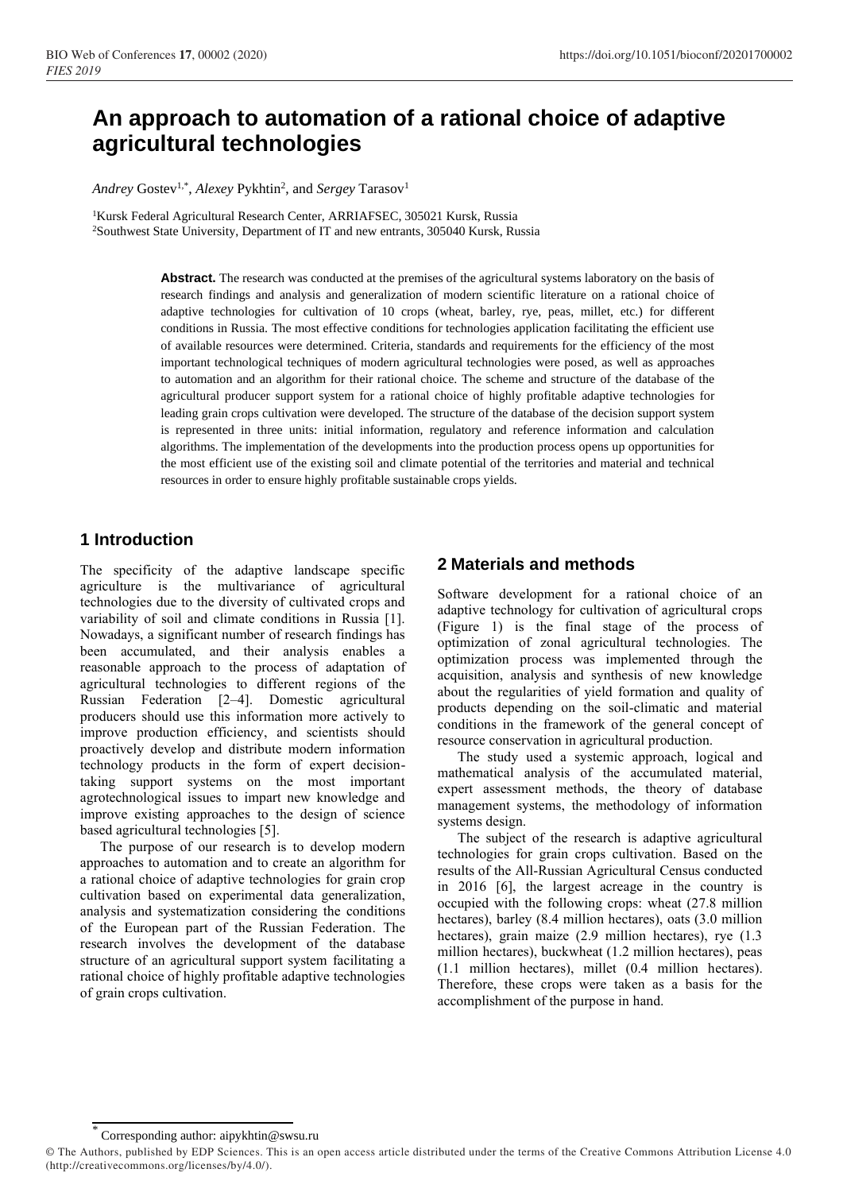# **An approach to automation of a rational choice of adaptive agricultural technologies**

Andrey Gostev<sup>1,\*</sup>, *Alexey* Pykhtin<sup>2</sup>, and *Sergey* Tarasov<sup>1</sup>

<sup>1</sup>Kursk Federal Agricultural Research Center, ARRIAFSEC, 305021 Kursk, Russia <sup>2</sup>Southwest State University, Department of IT and new entrants, 305040 Kursk, Russia

> **Abstract.** The research was conducted at the premises of the agricultural systems laboratory on the basis of research findings and analysis and generalization of modern scientific literature on a rational choice of adaptive technologies for cultivation of 10 crops (wheat, barley, rye, peas, millet, etc.) for different conditions in Russia. The most effective conditions for technologies application facilitating the efficient use of available resources were determined. Criteria, standards and requirements for the efficiency of the most important technological techniques of modern agricultural technologies were posed, as well as approaches to automation and an algorithm for their rational choice. The scheme and structure of the database of the agricultural producer support system for a rational choice of highly profitable adaptive technologies for leading grain crops cultivation were developed. The structure of the database of the decision support system is represented in three units: initial information, regulatory and reference information and calculation algorithms. The implementation of the developments into the production process opens up opportunities for the most efficient use of the existing soil and climate potential of the territories and material and technical resources in order to ensure highly profitable sustainable crops yields.

## **1 Introduction**

The specificity of the adaptive landscape specific agriculture is the multivariance of agricultural technologies due to the diversity of cultivated crops and variability of soil and climate conditions in Russia [1]. Nowadays, a significant number of research findings has been accumulated, and their analysis enables a reasonable approach to the process of adaptation of agricultural technologies to different regions of the Russian Federation [2–4]. Domestic agricultural producers should use this information more actively to improve production efficiency, and scientists should proactively develop and distribute modern information technology products in the form of expert decisiontaking support systems on the most important agrotechnological issues to impart new knowledge and improve existing approaches to the design of science based agricultural technologies [5].

The purpose of our research is to develop modern approaches to automation and to create an algorithm for a rational choice of adaptive technologies for grain crop cultivation based on experimental data generalization, analysis and systematization considering the conditions of the European part of the Russian Federation. The research involves the development of the database structure of an agricultural support system facilitating a rational choice of highly profitable adaptive technologies of grain crops cultivation.

#### **2 Materials and methods**

Software development for a rational choice of an adaptive technology for cultivation of agricultural crops (Figure 1) is the final stage of the process of optimization of zonal agricultural technologies. The optimization process was implemented through the acquisition, analysis and synthesis of new knowledge about the regularities of yield formation and quality of products depending on the soil-climatic and material conditions in the framework of the general concept of resource conservation in agricultural production.

The study used a systemic approach, logical and mathematical analysis of the accumulated material, expert assessment methods, the theory of database management systems, the methodology of information systems design.

The subject of the research is adaptive agricultural technologies for grain crops cultivation. Based on the results of the All-Russian Agricultural Census conducted in 2016 [6], the largest acreage in the country is occupied with the following crops: wheat (27.8 million hectares), barley (8.4 million hectares), oats (3.0 million hectares), grain maize (2.9 million hectares), rye (1.3 million hectares), buckwheat (1.2 million hectares), peas (1.1 million hectares), millet (0.4 million hectares). Therefore, these crops were taken as a basis for the accomplishment of the purpose in hand.

<sup>\*</sup> Corresponding author: aipykhtin@swsu.ru

<sup>©</sup> The Authors, published by EDP Sciences. This is an open access article distributed under the terms of the Creative Commons Attribution License 4.0 (http://creativecommons.org/licenses/by/4.0/).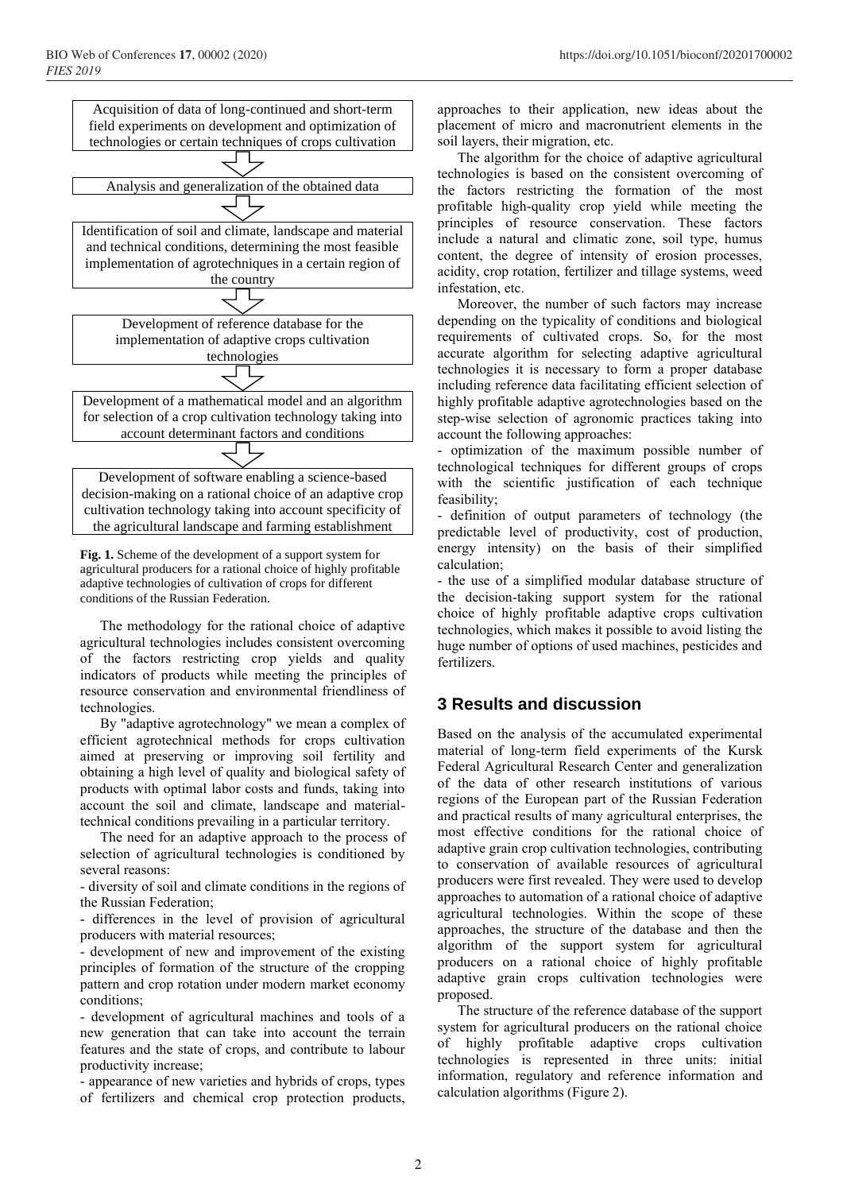

**Fig. 1.** Scheme of the development of a support system for agricultural producers for a rational choice of highly profitable adaptive technologies of cultivation of crops for different conditions of the Russian Federation.

The methodology for the rational choice of adaptive agricultural technologies includes consistent overcoming of the factors restricting crop yields and quality indicators of products while meeting the principles of resource conservation and environmental friendliness of technologies.

By "adaptive agrotechnology" we mean a complex of efficient agrotechnical methods for crops cultivation aimed at preserving or improving soil fertility and obtaining a high level of quality and biological safety of products with optimal labor costs and funds, taking into account the soil and climate, landscape and materialtechnical conditions prevailing in a particular territory.

The need for an adaptive approach to the process of selection of agricultural technologies is conditioned by several reasons:

- diversity of soil and climate conditions in the regions of the Russian Federation;

- differences in the level of provision of agricultural producers with material resources;

- development of new and improvement of the existing principles of formation of the structure of the cropping pattern and crop rotation under modern market economy conditions;

- development of agricultural machines and tools of a new generation that can take into account the terrain features and the state of crops, and contribute to labour productivity increase;

- appearance of new varieties and hybrids of crops, types of fertilizers and chemical crop protection products,

approaches to their application, new ideas about the placement of micro and macronutrient elements in the soil layers, their migration, etc.

The algorithm for the choice of adaptive agricultural technologies is based on the consistent overcoming of the factors restricting the formation of the most profitable high-quality crop yield while meeting the principles of resource conservation. These factors include a natural and climatic zone, soil type, humus content, the degree of intensity of erosion processes, acidity, crop rotation, fertilizer and tillage systems, weed infestation, etc.

Moreover, the number of such factors may increase depending on the typicality of conditions and biological requirements of cultivated crops. So, for the most accurate algorithm for selecting adaptive agricultural technologies it is necessary to form a proper database including reference data facilitating efficient selection of highly profitable adaptive agrotechnologies based on the step-wise selection of agronomic practices taking into account the following approaches:

- optimization of the maximum possible number of technological techniques for different groups of crops with the scientific justification of each technique feasibility;

- definition of output parameters of technology (the predictable level of productivity, cost of production, energy intensity) on the basis of their simplified calculation;

- the use of a simplified modular database structure of the decision-taking support system for the rational choice of highly profitable adaptive crops cultivation technologies, which makes it possible to avoid listing the huge number of options of used machines, pesticides and fertilizers.

## **3 Results and discussion**

Based on the analysis of the accumulated experimental material of long-term field experiments of the Kursk Federal Agricultural Research Center and generalization of the data of other research institutions of various regions of the European part of the Russian Federation and practical results of many agricultural enterprises, the most effective conditions for the rational choice of adaptive grain crop cultivation technologies, contributing to conservation of available resources of agricultural producers were first revealed. They were used to develop approaches to automation of a rational choice of adaptive agricultural technologies. Within the scope of these approaches, the structure of the database and then the algorithm of the support system for agricultural producers on a rational choice of highly profitable adaptive grain crops cultivation technologies were proposed.

The structure of the reference database of the support system for agricultural producers on the rational choice of highly profitable adaptive crops cultivation technologies is represented in three units: initial information, regulatory and reference information and calculation algorithms (Figure 2).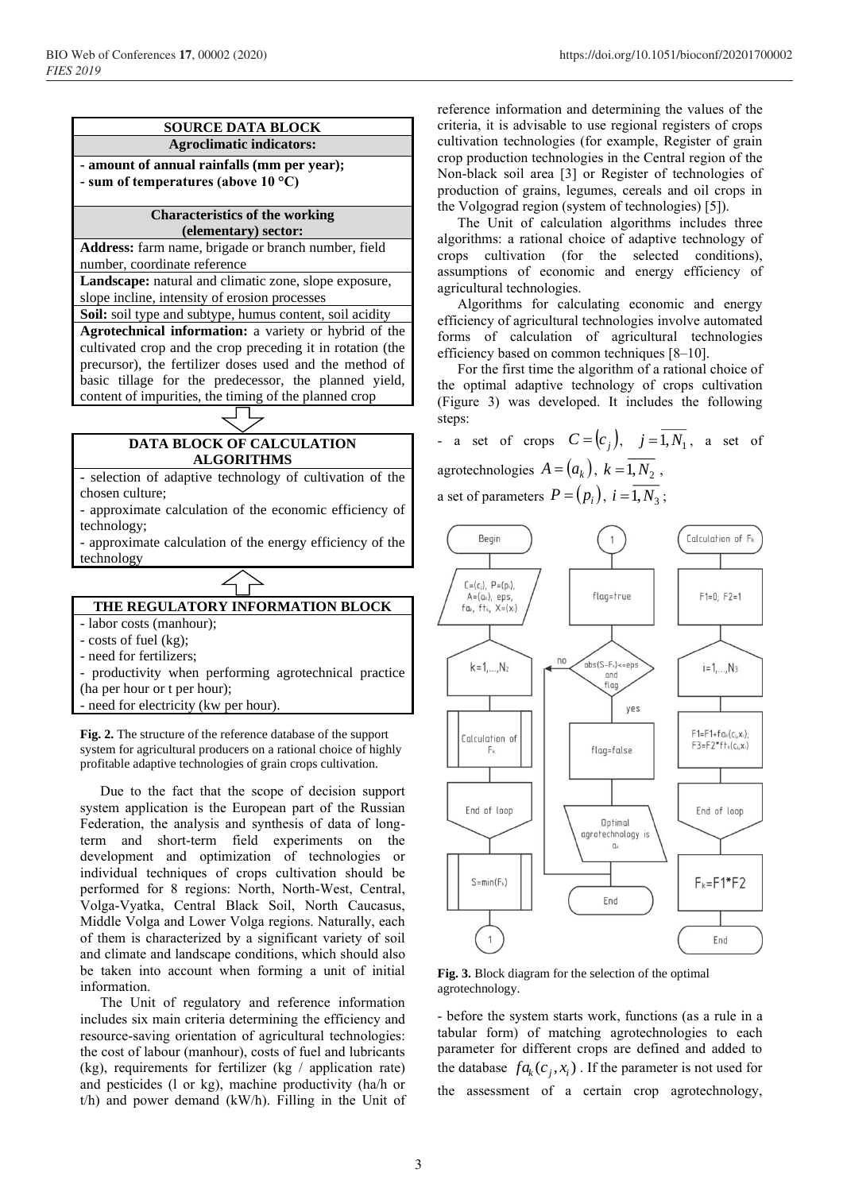# **SOURCE DATA BLOCK Agroclimatic indicators: - amount of annual rainfalls (mm per year); - sum of temperatures (above 10 °C) Characteristics of the working (elementary) sector: Address:** farm name, brigade or branch number, field number, coordinate reference Landscape: natural and climatic zone, slope exposure, slope incline, intensity of erosion processes **Soil:** soil type and subtype, humus content, soil acidity **Agrotechnical information:** a variety or hybrid of the cultivated crop and the crop preceding it in rotation (the precursor), the fertilizer doses used and the method of basic tillage for the predecessor, the planned yield, content of impurities, the timing of the planned crop **DATA BLOCK OF CALCULATION ALGORITHMS** - selection of adaptive technology of cultivation of the chosen culture; - approximate calculation of the economic efficiency of technology; - approximate calculation of the energy efficiency of the technology **THE REGULATORY INFORMATION BLOCK** - labor costs (manhour); - costs of fuel (kg); - need for fertilizers; - productivity when performing agrotechnical practice (ha per hour or t per hour); - need for electricity (kw per hour).

**Fig. 2.** The structure of the reference database of the support system for agricultural producers on a rational choice of highly profitable adaptive technologies of grain crops cultivation.

Due to the fact that the scope of decision support system application is the European part of the Russian Federation, the analysis and synthesis of data of longterm and short-term field experiments on the development and optimization of technologies or individual techniques of crops cultivation should be performed for 8 regions: North, North-West, Central, Volga-Vyatka, Central Black Soil, North Caucasus, Middle Volga and Lower Volga regions. Naturally, each of them is characterized by a significant variety of soil and climate and landscape conditions, which should also be taken into account when forming a unit of initial information.

The Unit of regulatory and reference information includes six main criteria determining the efficiency and resource-saving orientation of agricultural technologies: the cost of labour (manhour), costs of fuel and lubricants (kg), requirements for fertilizer (kg  $/$  application rate) and pesticides (l or kg), machine productivity (ha/h or t/h) and power demand (kW/h). Filling in the Unit of reference information and determining the values of the criteria, it is advisable to use regional registers of crops cultivation technologies (for example, Register of grain crop production technologies in the Central region of the Non-black soil area [3] or Register of technologies of production of grains, legumes, cereals and oil crops in the Volgograd region (system of technologies) [5]).

The Unit of calculation algorithms includes three algorithms: a rational choice of adaptive technology of crops cultivation (for the selected conditions), assumptions of economic and energy efficiency of agricultural technologies.

Algorithms for calculating economic and energy efficiency of agricultural technologies involve automated forms of calculation of agricultural technologies efficiency based on common techniques [8–10].

For the first time the algorithm of a rational choice of the optimal adaptive technology of crops cultivation (Figure 3) was developed. It includes the following steps:

- a set of crops  $C = (c_j)$ ,  $j = 1, N_1$ , a set of agrotechnologies  $A = (a_k)$ ,  $k = \overline{1, N_2}$ , a set of parameters  $P = (p_i)$ ,  $i = \overline{1, N_3}$ ;



**Fig. 3.** Block diagram for the selection of the optimal agrotechnology.

- before the system starts work, functions (as a rule in a tabular form) of matching agrotechnologies to each parameter for different crops are defined and added to the database  $fa_k(c_j, x_i)$ . If the parameter is not used for the assessment of a certain crop agrotechnology,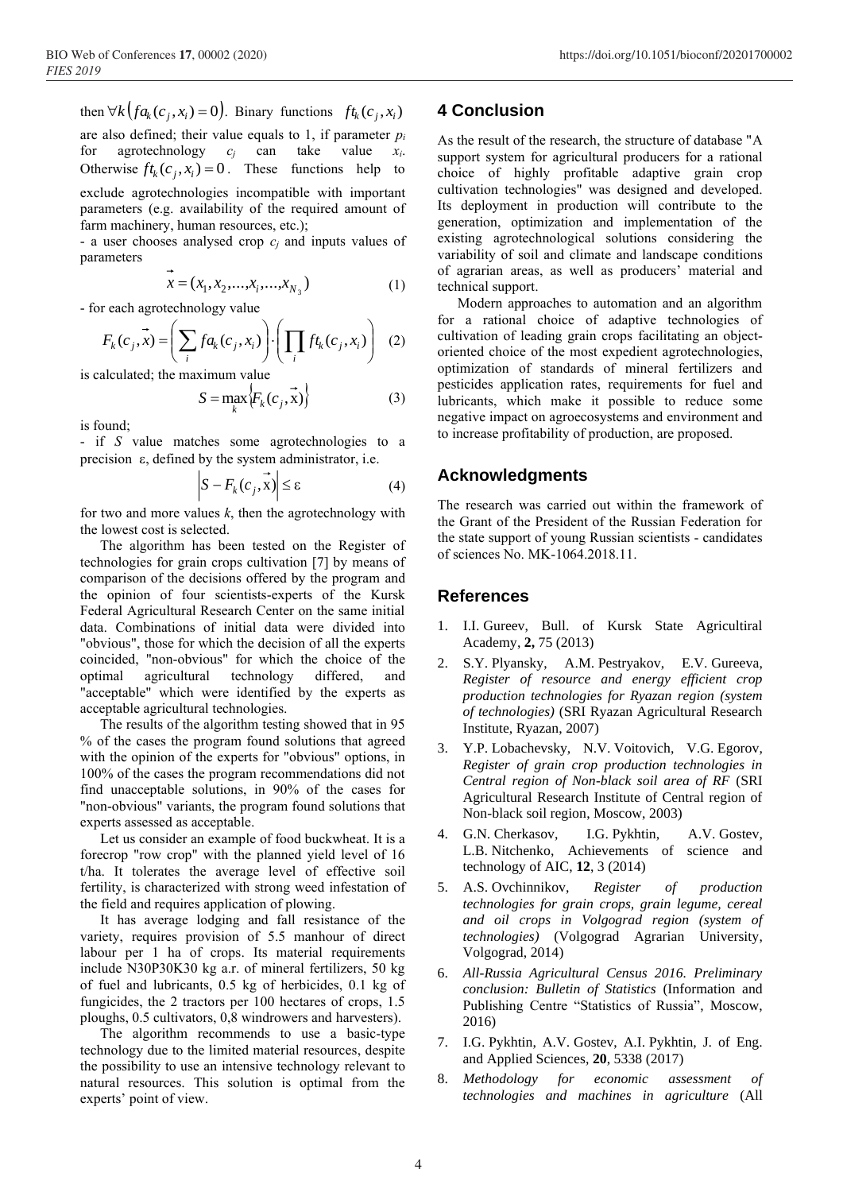then  $\forall k (fa_k(c_j, x_i) = 0)$ . Binary functions  $ft_k(c_j, x_i)$ are also defined; their value equals to 1, if parameter  $p_i$ for agrotechnology *c<sup>j</sup>* can take value *xi*. Otherwise  $ft_k(c_j, x_i) = 0$ . These functions help to exclude agrotechnologies incompatible with important parameters (e.g. availability of the required amount of farm machinery, human resources, etc.);

- a user chooses analysed crop *c<sup>j</sup>* and inputs values of parameters

$$
x = (x_1, x_2, \dots, x_i, \dots, x_{N_3})
$$
 (1)

- for each agrotechnology value

$$
F_k(c_j, \vec{x}) = \left(\sum_i f a_k(c_j, x_i)\right) \cdot \left(\prod_i f t_k(c_j, x_i)\right) \tag{2}
$$

is calculated; the maximum value

$$
S = \max_{k} \left\{ F_k(c_j, \vec{x}) \right\} \tag{3}
$$

is found;

- if *S* value matches some agrotechnologies to a precision  $\varepsilon$ , defined by the system administrator, i.e.

$$
\left| S - F_k(c_j, \vec{x}) \right| \le \varepsilon \tag{4}
$$

for two and more values *k*, then the agrotechnology with the lowest cost is selected.

The algorithm has been tested on the Register of technologies for grain crops cultivation [7] by means of comparison of the decisions offered by the program and the opinion of four scientists-experts of the Kursk Federal Agricultural Research Center on the same initial data. Combinations of initial data were divided into "obvious", those for which the decision of all the experts coincided, "non-obvious" for which the choice of the optimal agricultural technology differed, and "acceptable" which were identified by the experts as acceptable agricultural technologies.

The results of the algorithm testing showed that in 95 % of the cases the program found solutions that agreed with the opinion of the experts for "obvious" options, in 100% of the cases the program recommendations did not find unacceptable solutions, in 90% of the cases for "non-obvious" variants, the program found solutions that experts assessed as acceptable.

Let us consider an example of food buckwheat. It is a forecrop "row crop" with the planned yield level of 16 t/ha. It tolerates the average level of effective soil fertility, is characterized with strong weed infestation of the field and requires application of plowing.

It has average lodging and fall resistance of the variety, requires provision of 5.5 manhour of direct labour per 1 ha of crops. Its material requirements include N30P30K30 kg a.r. of mineral fertilizers, 50 kg of fuel and lubricants, 0.5 kg of herbicides, 0.1 kg of fungicides, the 2 tractors per 100 hectares of crops, 1.5 ploughs, 0.5 cultivators, 0,8 windrowers and harvesters).

The algorithm recommends to use a basic-type technology due to the limited material resources, despite the possibility to use an intensive technology relevant to natural resources. This solution is optimal from the experts' point of view.

## **4 Conclusion**

As the result of the research, the structure of database "A support system for agricultural producers for a rational choice of highly profitable adaptive grain crop cultivation technologies" was designed and developed. Its deployment in production will contribute to the generation, optimization and implementation of the existing agrotechnological solutions considering the variability of soil and climate and landscape conditions of agrarian areas, as well as producers' material and technical support.

Modern approaches to automation and an algorithm for a rational choice of adaptive technologies of cultivation of leading grain crops facilitating an objectoriented choice of the most expedient agrotechnologies, optimization of standards of mineral fertilizers and pesticides application rates, requirements for fuel and lubricants, which make it possible to reduce some negative impact on agroecosystems and environment and to increase profitability of production, are proposed.

## **Acknowledgments**

The research was carried out within the framework of the Grant of the President of the Russian Federation for the state support of young Russian scientists - candidates of sciences No. MK-1064.2018.11.

#### **References**

- 1. I.I. Gureev, Bull. of Kursk State Agricultiral Academy, **2,** 75 (2013)
- 2. S.Y. Plyansky, A.M. Pestryakov, E.V. Gureeva, *Register of resource and energy efficient crop production technologies for Ryazan region (system of technologies)* (SRI Ryazan Agricultural Research Institute, Ryazan, 2007)
- 3. Y.P. Lobachevsky, N.V. Voitovich, V.G. Egorov, *Register of grain crop production technologies in Central region of Non-black soil area of RF* (SRI Agricultural Research Institute of Central region of Non-black soil region, Moscow, 2003)
- 4. G.N. Cherkasov, I.G. Pykhtin, A.V. Gostev, L.B. Nitchenko, Achievements of science and technology of AIC, **12**, 3 (2014)
- 5. A.S. Ovchinnikov, *Register of production technologies for grain crops, grain legume, cereal and oil crops in Volgograd region (system of technologies)* (Volgograd Agrarian University, Volgograd, 2014)
- 6. *All-Russia Agricultural Census 2016. Preliminary conclusion: Bulletin of Statistics* (Information and Publishing Centre "Statistics of Russia", Moscow, 2016)
- 7. I.G. Pykhtin, A.V. Gostev, A.I. Pykhtin, J. of Eng. and Applied Sciences, **20**, 5338 (2017)
- 8. *Methodology for economic assessment of technologies and machines in agriculture* (All